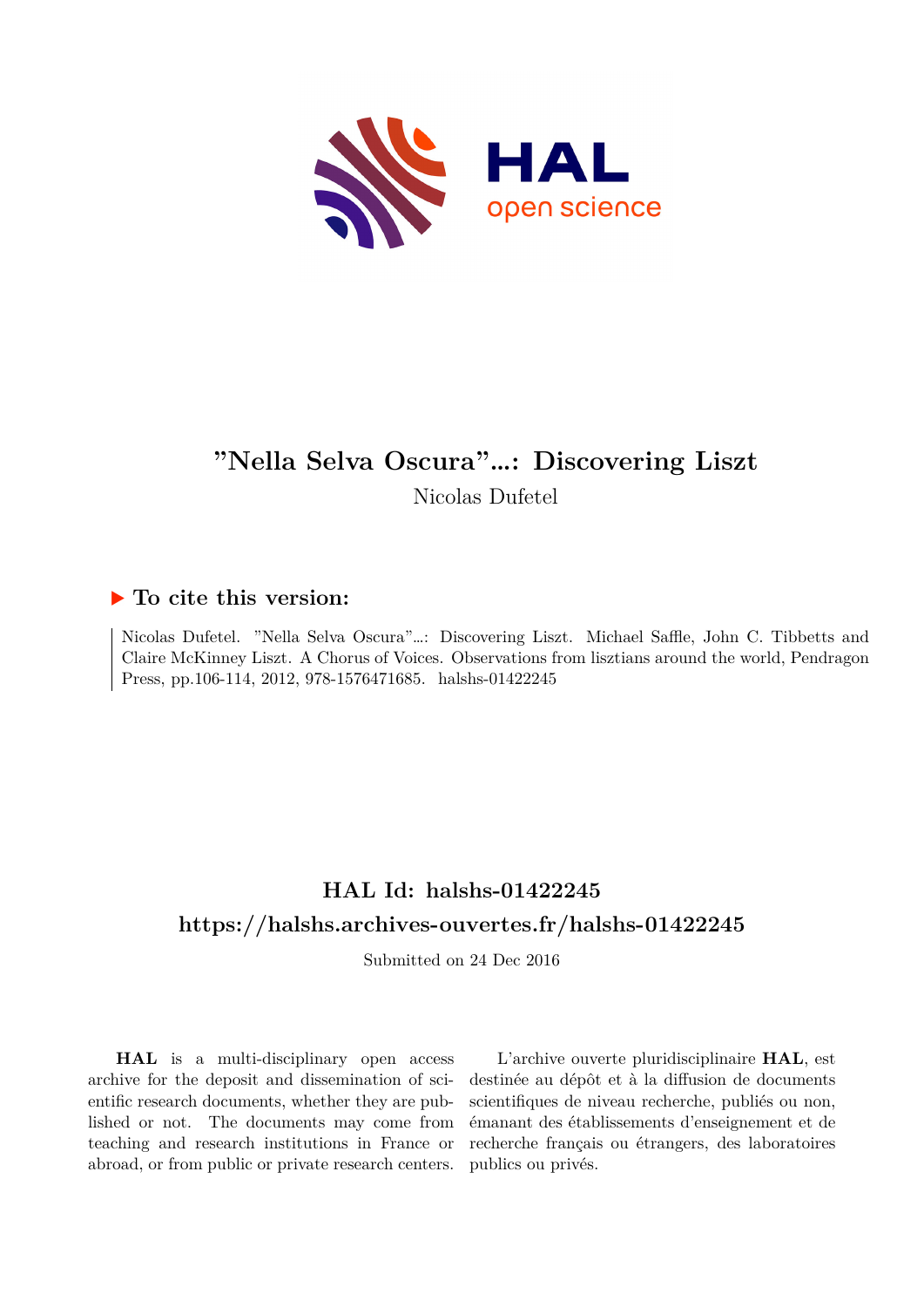

# **"Nella Selva Oscura"…: Discovering Liszt**

Nicolas Dufetel

#### **To cite this version:**

Nicolas Dufetel. "Nella Selva Oscura"…: Discovering Liszt. Michael Saffle, John C. Tibbetts and Claire McKinney Liszt. A Chorus of Voices. Observations from lisztians around the world, Pendragon Press, pp.106-114, 2012, 978-1576471685. halshs-01422245

## **HAL Id: halshs-01422245 <https://halshs.archives-ouvertes.fr/halshs-01422245>**

Submitted on 24 Dec 2016

**HAL** is a multi-disciplinary open access archive for the deposit and dissemination of scientific research documents, whether they are published or not. The documents may come from teaching and research institutions in France or abroad, or from public or private research centers.

L'archive ouverte pluridisciplinaire **HAL**, est destinée au dépôt et à la diffusion de documents scientifiques de niveau recherche, publiés ou non, émanant des établissements d'enseignement et de recherche français ou étrangers, des laboratoires publics ou privés.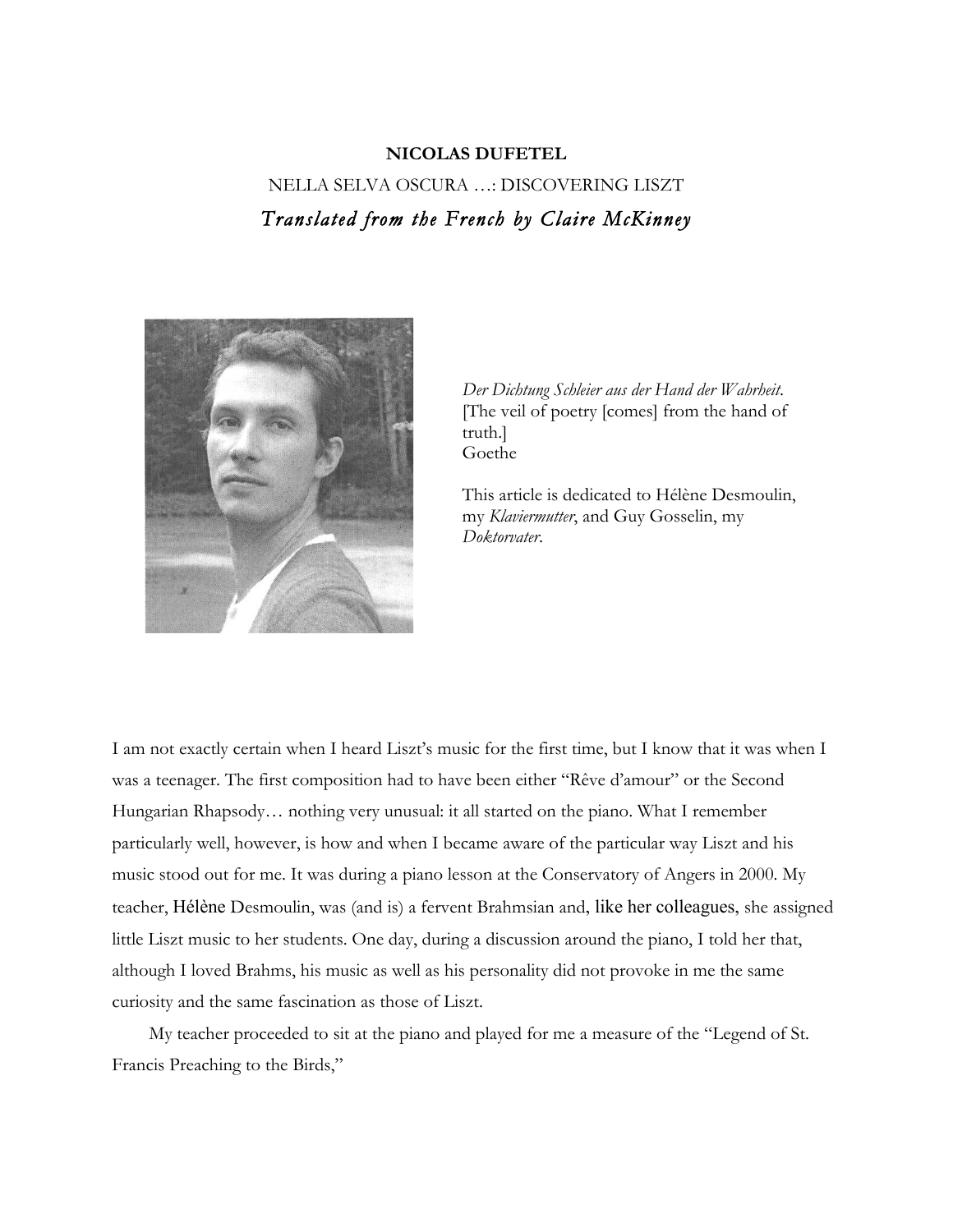### **NICOLAS DUFETEL** NELLA SELVA OSCURA …: DISCOVERING LISZT *Translated from the French by Claire McKinney*



*Der Dichtung Schleier aus der Hand der Wahrheit*. [The veil of poetry [comes] from the hand of truth.] Goethe

This article is dedicated to Hélène Desmoulin, my *Klaviermutter*, and Guy Gosselin, my *Doktorvater*.

I am not exactly certain when I heard Liszt's music for the first time, but I know that it was when I was a teenager. The first composition had to have been either "Rêve d'amour" or the Second Hungarian Rhapsody… nothing very unusual: it all started on the piano. What I remember particularly well, however, is how and when I became aware of the particular way Liszt and his music stood out for me. It was during a piano lesson at the Conservatory of Angers in 2000. My teacher, Hélène Desmoulin, was (and is) a fervent Brahmsian and, like her colleagues, she assigned little Liszt music to her students. One day, during a discussion around the piano, I told her that, although I loved Brahms, his music as well as his personality did not provoke in me the same curiosity and the same fascination as those of Liszt.

My teacher proceeded to sit at the piano and played for me a measure of the "Legend of St. Francis Preaching to the Birds,"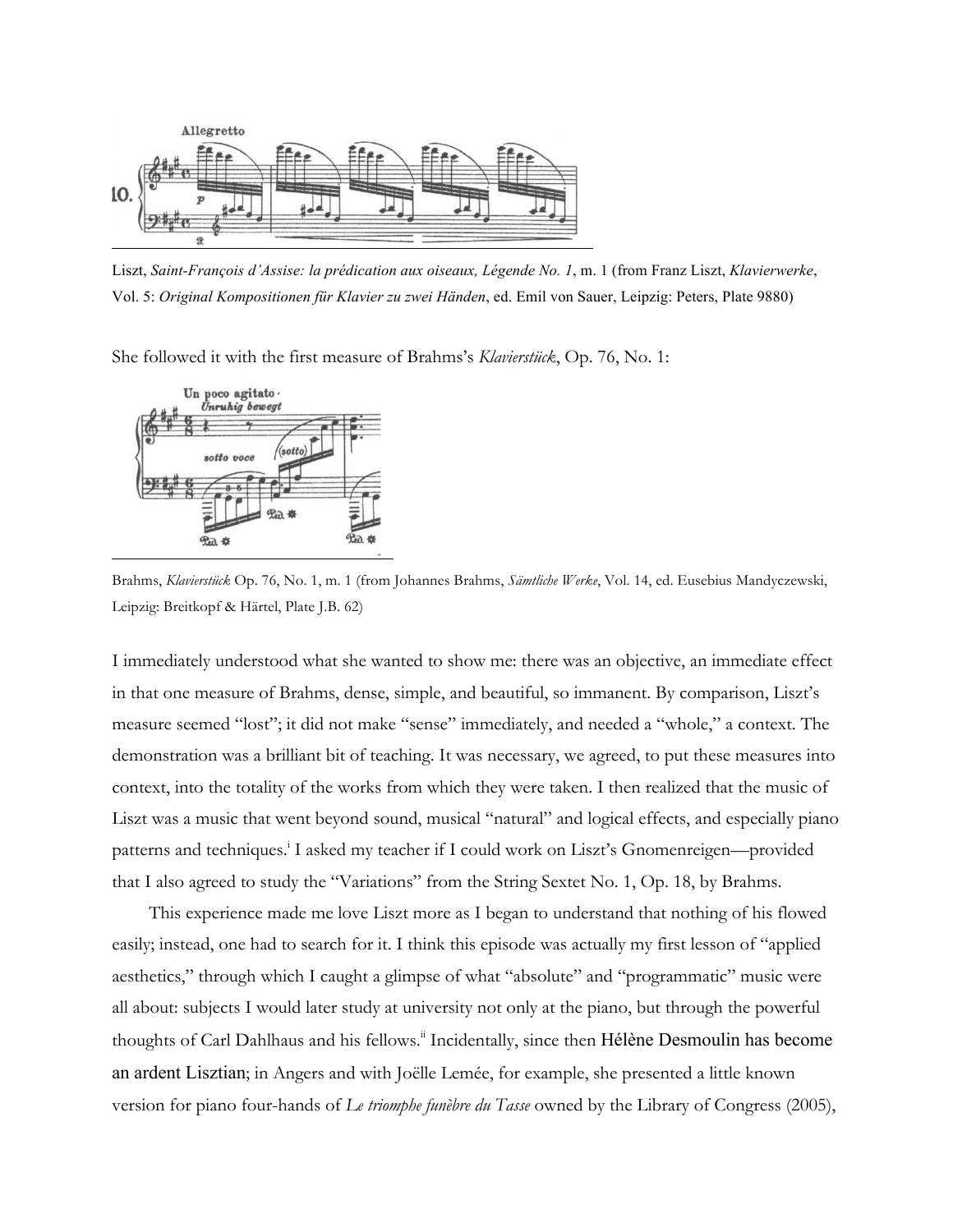

Liszt, *Saint-François d'Assise: la prédication aux oiseaux, Légende No. 1*, m. 1 (from Franz Liszt, *Klavierwerke*, Vol. 5: *Original Kompositionen für Klavier zu zwei Händen*, ed. Emil von Sauer, Leipzig: Peters, Plate 9880)

She followed it with the first measure of Brahms's *Klavierstück*, Op. 76, No. 1:



Brahms, *Klavierstück* Op. 76, No. 1, m. 1 (from Johannes Brahms, *Sämtliche Werke*, Vol. 14, ed. Eusebius Mandyczewski, Leipzig: Breitkopf & Härtel, Plate J.B. 62)

I immediately understood what she wanted to show me: there was an objective, an immediate effect in that one measure of Brahms, dense, simple, and beautiful, so immanent. By comparison, Liszt's measure seemed "lost"; it did not make "sense" immediately, and needed a "whole," a context. The demonstration was a brilliant bit of teaching. It was necessary, we agreed, to put these measures into context, into the totality of the works from which they were taken. I then realized that the music of Liszt was a music that went beyond sound, musical "natural" and logical effects, and especially piano patterns and techniques.<sup>i</sup> I asked my teacher if I could work on Liszt's Gnomenreigen—provided that I also agreed to study the "Variations" from the String Sextet No. 1, Op. 18, by Brahms.

This experience made me love Liszt more as I began to understand that nothing of his flowed easily; instead, one had to search for it. I think this episode was actually my first lesson of "applied aesthetics," through which I caught a glimpse of what "absolute" and "programmatic" music were all about: subjects I would later study at university not only at the piano, but through the powerful thoughts of Carl Dahlhaus and his fellows.<sup>"</sup> Incidentally, since then Hélène Desmoulin has become an ardent Lisztian; in Angers and with Joëlle Lemée, for example, she presented a little known version for piano four-hands of *Le triomphe funèbre du Tasse* owned by the Library of Congress (2005),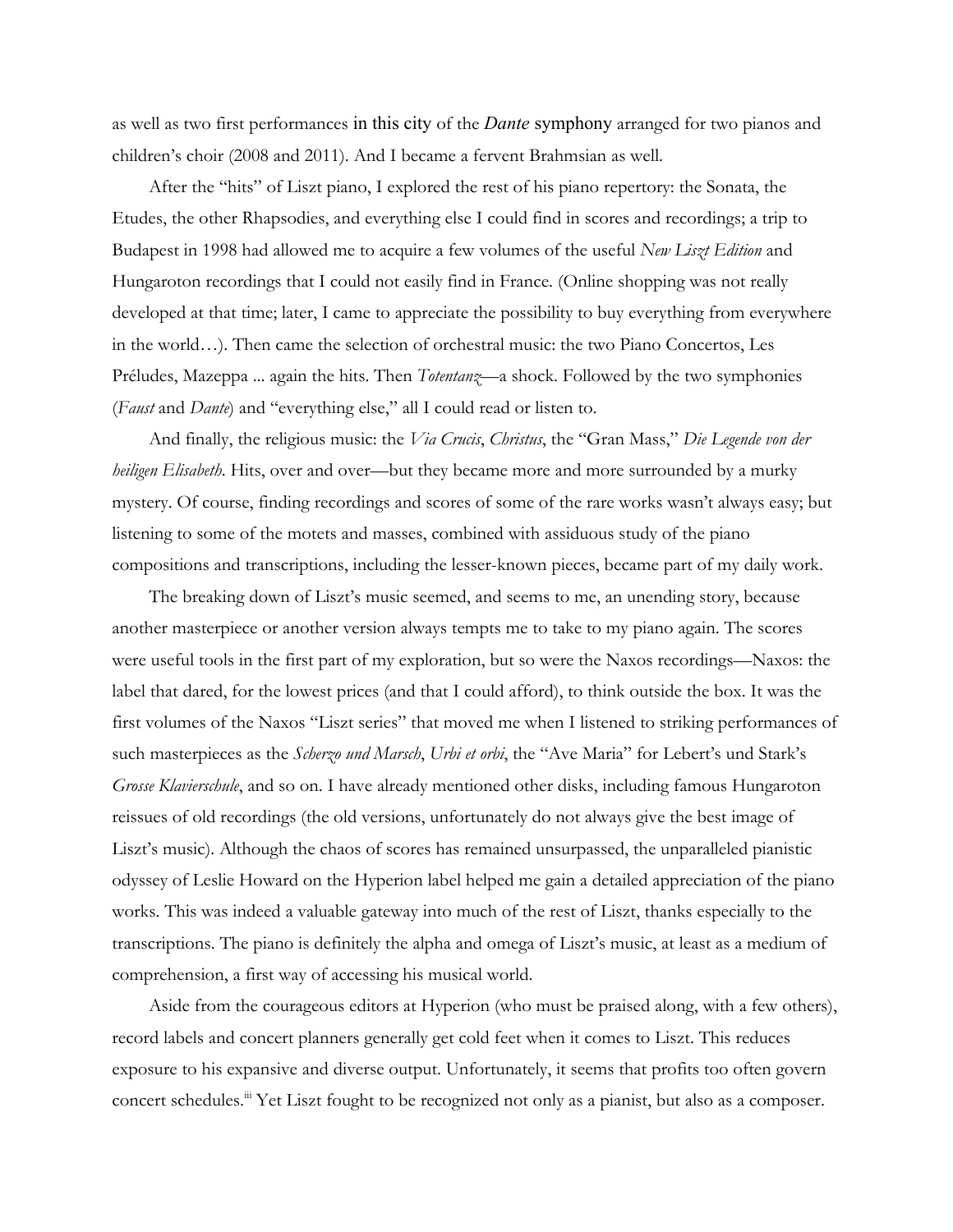as well as two first performances in this city of the *Dante* symphony arranged for two pianos and children's choir (2008 and 2011). And I became a fervent Brahmsian as well.

After the "hits" of Liszt piano, I explored the rest of his piano repertory: the Sonata, the Etudes, the other Rhapsodies, and everything else I could find in scores and recordings; a trip to Budapest in 1998 had allowed me to acquire a few volumes of the useful *New Liszt Edition* and Hungaroton recordings that I could not easily find in France. (Online shopping was not really developed at that time; later, I came to appreciate the possibility to buy everything from everywhere in the world…). Then came the selection of orchestral music: the two Piano Concertos, Les Préludes, Mazeppa ... again the hits. Then *Totentanz—*a shock. Followed by the two symphonies (*Faust* and *Dante*) and "everything else," all I could read or listen to.

And finally, the religious music: the *Via Crucis*, *Christus*, the "Gran Mass," *Die Legende von der heiligen Elisabeth*. Hits, over and over—but they became more and more surrounded by a murky mystery. Of course, finding recordings and scores of some of the rare works wasn't always easy; but listening to some of the motets and masses, combined with assiduous study of the piano compositions and transcriptions, including the lesser-known pieces, became part of my daily work.

The breaking down of Liszt's music seemed, and seems to me, an unending story, because another masterpiece or another version always tempts me to take to my piano again. The scores were useful tools in the first part of my exploration, but so were the Naxos recordings—Naxos: the label that dared, for the lowest prices (and that I could afford), to think outside the box. It was the first volumes of the Naxos "Liszt series" that moved me when I listened to striking performances of such masterpieces as the *Scherzo und Marsch*, *Urbi et orbi*, the "Ave Maria" for Lebert's und Stark's *Grosse Klavierschule*, and so on. I have already mentioned other disks, including famous Hungaroton reissues of old recordings (the old versions, unfortunately do not always give the best image of Liszt's music). Although the chaos of scores has remained unsurpassed, the unparalleled pianistic odyssey of Leslie Howard on the Hyperion label helped me gain a detailed appreciation of the piano works. This was indeed a valuable gateway into much of the rest of Liszt, thanks especially to the transcriptions. The piano is definitely the alpha and omega of Liszt's music, at least as a medium of comprehension, a first way of accessing his musical world.

Aside from the courageous editors at Hyperion (who must be praised along, with a few others), record labels and concert planners generally get cold feet when it comes to Liszt. This reduces exposure to his expansive and diverse output. Unfortunately, it seems that profits too often govern concert schedules.<sup>iii</sup> Yet Liszt fought to be recognized not only as a pianist, but also as a composer.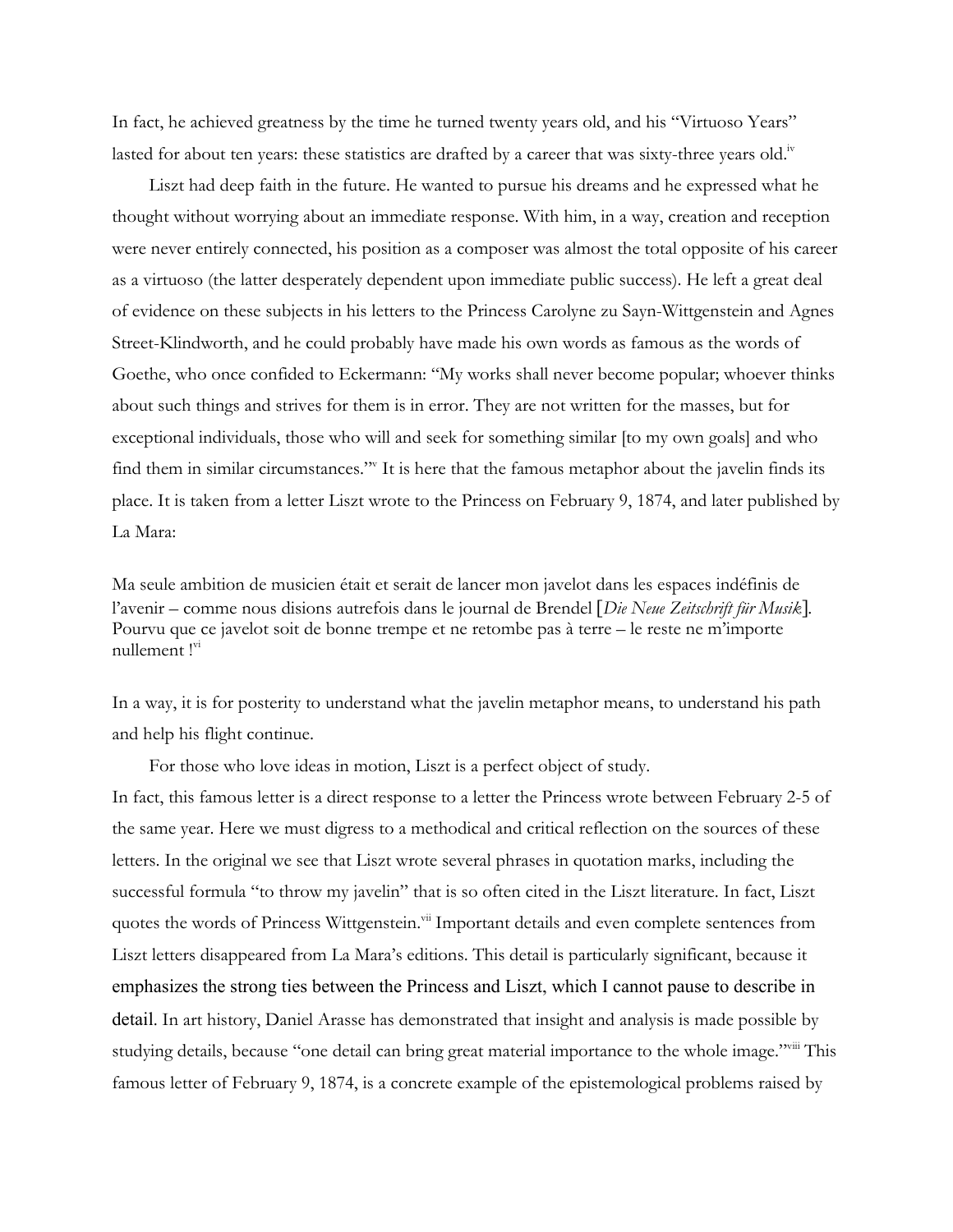In fact, he achieved greatness by the time he turned twenty years old, and his "Virtuoso Years" lasted for about ten years: these statistics are drafted by a career that was sixty-three years old.<sup>iv</sup>

Liszt had deep faith in the future. He wanted to pursue his dreams and he expressed what he thought without worrying about an immediate response. With him, in a way, creation and reception were never entirely connected, his position as a composer was almost the total opposite of his career as a virtuoso (the latter desperately dependent upon immediate public success). He left a great deal of evidence on these subjects in his letters to the Princess Carolyne zu Sayn-Wittgenstein and Agnes Street-Klindworth, and he could probably have made his own words as famous as the words of Goethe, who once confided to Eckermann: "My works shall never become popular; whoever thinks about such things and strives for them is in error. They are not written for the masses, but for exceptional individuals, those who will and seek for something similar [to my own goals] and who find them in similar circumstances."v It is here that the famous metaphor about the javelin finds its place. It is taken from a letter Liszt wrote to the Princess on February 9, 1874, and later published by La Mara:

Ma seule ambition de musicien était et serait de lancer mon javelot dans les espaces indéfinis de l'avenir – comme nous disions autrefois dans le journal de Brendel [*Die Neue Zeitschrift für Musik*]. Pourvu que ce javelot soit de bonne trempe et ne retombe pas à terre – le reste ne m'importe nullement !"

In a way, it is for posterity to understand what the javelin metaphor means, to understand his path and help his flight continue.

For those who love ideas in motion, Liszt is a perfect object of study.

In fact, this famous letter is a direct response to a letter the Princess wrote between February 2-5 of the same year. Here we must digress to a methodical and critical reflection on the sources of these letters. In the original we see that Liszt wrote several phrases in quotation marks, including the successful formula "to throw my javelin" that is so often cited in the Liszt literature. In fact, Liszt quotes the words of Princess Wittgenstein.<sup>vii</sup> Important details and even complete sentences from Liszt letters disappeared from La Mara's editions. This detail is particularly significant, because it emphasizes the strong ties between the Princess and Liszt, which I cannot pause to describe in detail. In art history, Daniel Arasse has demonstrated that insight and analysis is made possible by studying details, because "one detail can bring great material importance to the whole image."<sup>viii</sup> This famous letter of February 9, 1874, is a concrete example of the epistemological problems raised by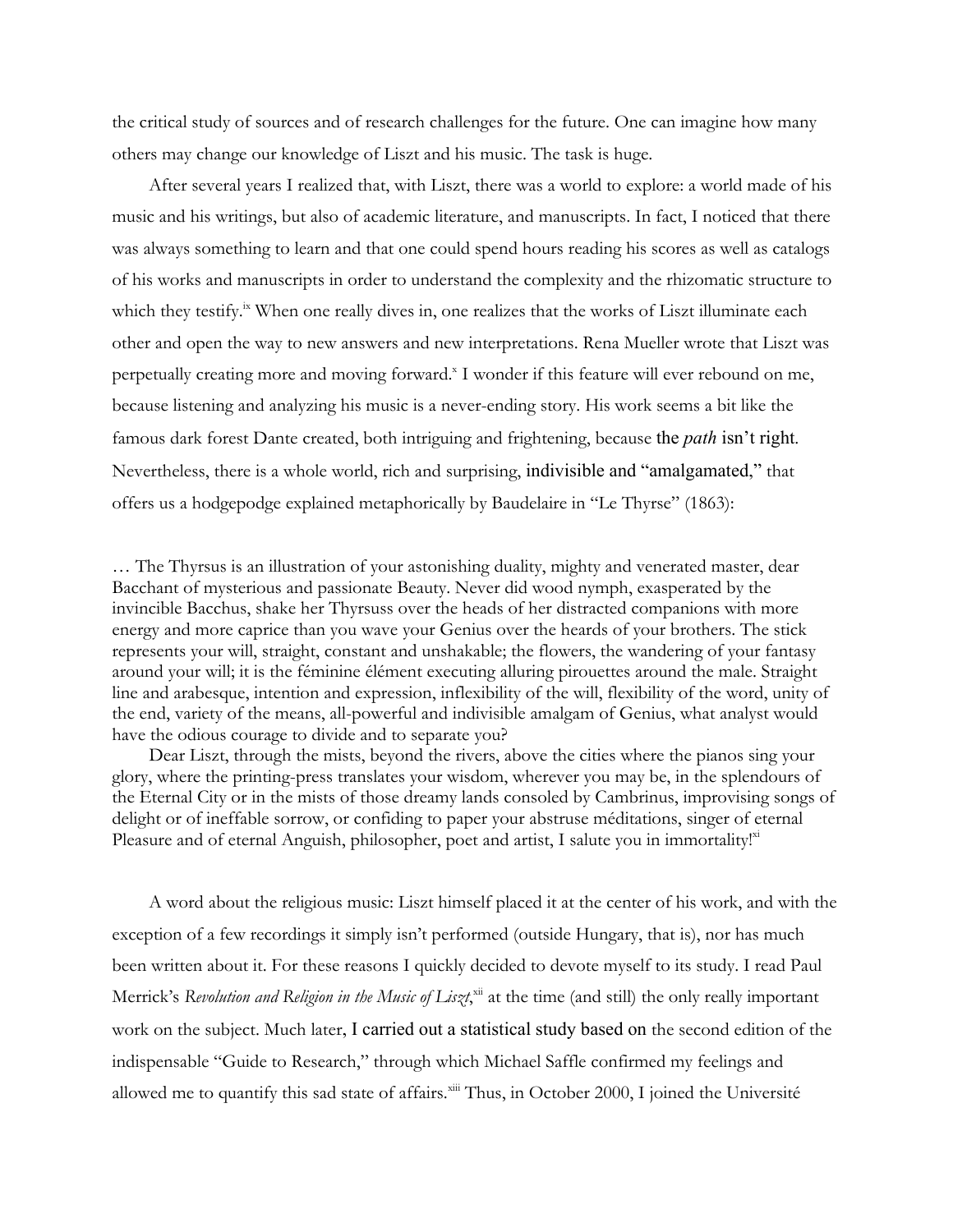the critical study of sources and of research challenges for the future. One can imagine how many others may change our knowledge of Liszt and his music. The task is huge.

After several years I realized that, with Liszt, there was a world to explore: a world made of his music and his writings, but also of academic literature, and manuscripts. In fact, I noticed that there was always something to learn and that one could spend hours reading his scores as well as catalogs of his works and manuscripts in order to understand the complexity and the rhizomatic structure to which they testify.<sup>ix</sup> When one really dives in, one realizes that the works of Liszt illuminate each other and open the way to new answers and new interpretations. Rena Mueller wrote that Liszt was perpetually creating more and moving forward.<sup>x</sup> I wonder if this feature will ever rebound on me, because listening and analyzing his music is a never-ending story. His work seems a bit like the famous dark forest Dante created, both intriguing and frightening, because the *path* isn't right. Nevertheless, there is a whole world, rich and surprising, indivisible and "amalgamated," that offers us a hodgepodge explained metaphorically by Baudelaire in "Le Thyrse" (1863):

… The Thyrsus is an illustration of your astonishing duality, mighty and venerated master, dear Bacchant of mysterious and passionate Beauty. Never did wood nymph, exasperated by the invincible Bacchus, shake her Thyrsuss over the heads of her distracted companions with more energy and more caprice than you wave your Genius over the heards of your brothers. The stick represents your will, straight, constant and unshakable; the flowers, the wandering of your fantasy around your will; it is the féminine élément executing alluring pirouettes around the male. Straight line and arabesque, intention and expression, inflexibility of the will, flexibility of the word, unity of the end, variety of the means, all-powerful and indivisible amalgam of Genius, what analyst would have the odious courage to divide and to separate you?

Dear Liszt, through the mists, beyond the rivers, above the cities where the pianos sing your glory, where the printing-press translates your wisdom, wherever you may be, in the splendours of the Eternal City or in the mists of those dreamy lands consoled by Cambrinus, improvising songs of delight or of ineffable sorrow, or confiding to paper your abstruse méditations, singer of eternal Pleasure and of eternal Anguish, philosopher, poet and artist, I salute you in immortality!<sup>xi</sup>

A word about the religious music: Liszt himself placed it at the center of his work, and with the exception of a few recordings it simply isn't performed (outside Hungary, that is), nor has much been written about it. For these reasons I quickly decided to devote myself to its study. I read Paul Merrick's *Revolution and Religion in the Music of Liszt*, xii at the time (and still) the only really important work on the subject. Much later, I carried out a statistical study based on the second edition of the indispensable "Guide to Research," through which Michael Saffle confirmed my feelings and allowed me to quantify this sad state of affairs.<sup>xiii</sup> Thus, in October 2000, I joined the Université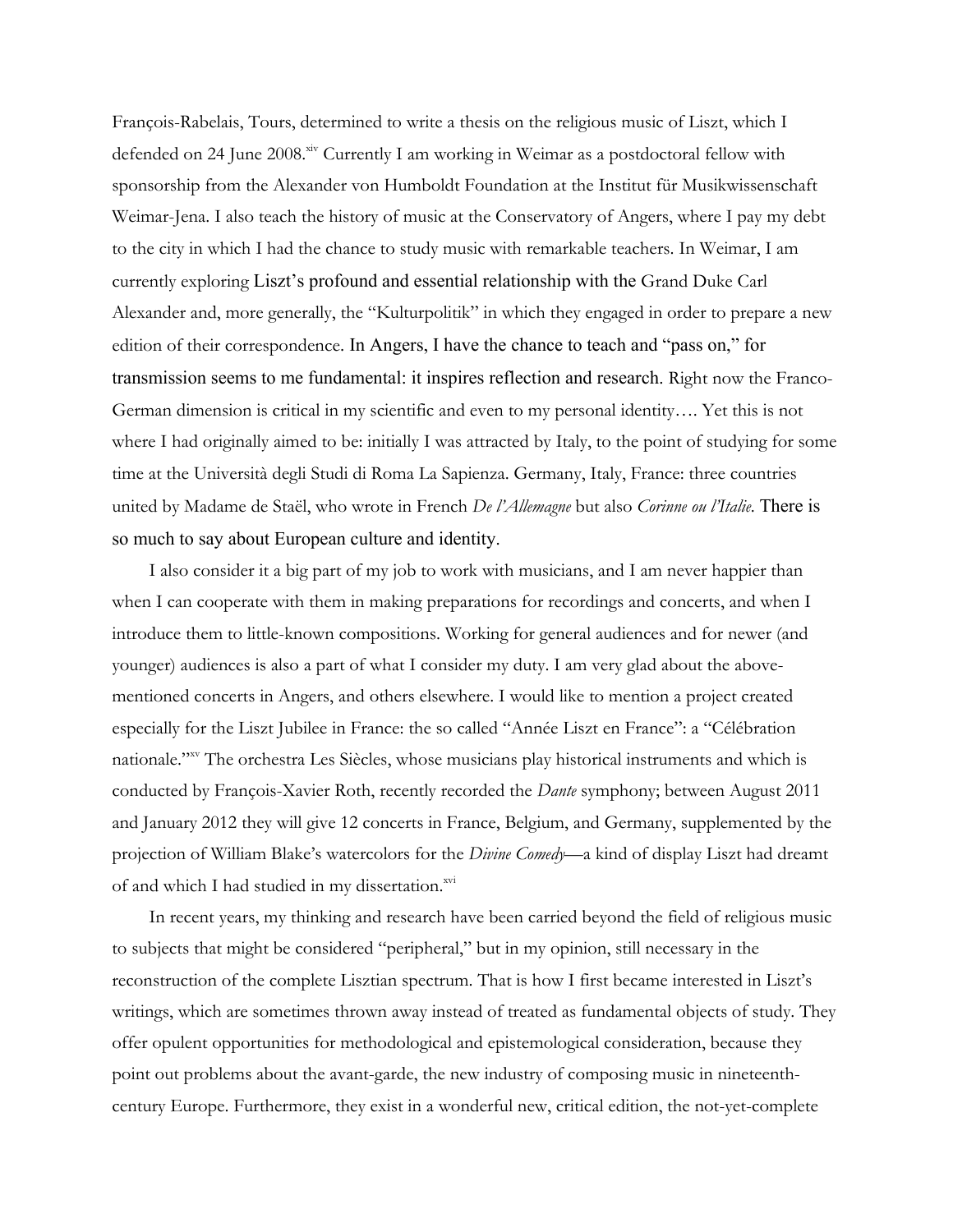François-Rabelais, Tours, determined to write a thesis on the religious music of Liszt, which I defended on 24 June 2008.<sup>xiv</sup> Currently I am working in Weimar as a postdoctoral fellow with sponsorship from the Alexander von Humboldt Foundation at the Institut für Musikwissenschaft Weimar-Jena. I also teach the history of music at the Conservatory of Angers, where I pay my debt to the city in which I had the chance to study music with remarkable teachers. In Weimar, I am currently exploring Liszt's profound and essential relationship with the Grand Duke Carl Alexander and, more generally, the "Kulturpolitik" in which they engaged in order to prepare a new edition of their correspondence. In Angers, I have the chance to teach and "pass on," for transmission seems to me fundamental: it inspires reflection and research. Right now the Franco-German dimension is critical in my scientific and even to my personal identity…. Yet this is not where I had originally aimed to be: initially I was attracted by Italy, to the point of studying for some time at the Università degli Studi di Roma La Sapienza. Germany, Italy, France: three countries united by Madame de Staël, who wrote in French *De l'Allemagne* but also *Corinne ou l'Italie*. There is so much to say about European culture and identity.

I also consider it a big part of my job to work with musicians, and I am never happier than when I can cooperate with them in making preparations for recordings and concerts, and when I introduce them to little-known compositions. Working for general audiences and for newer (and younger) audiences is also a part of what I consider my duty. I am very glad about the abovementioned concerts in Angers, and others elsewhere. I would like to mention a project created especially for the Liszt Jubilee in France: the so called "Année Liszt en France": a "Célébration nationale."xv The orchestra Les Siècles, whose musicians play historical instruments and which is conducted by François-Xavier Roth, recently recorded the *Dante* symphony; between August 2011 and January 2012 they will give 12 concerts in France, Belgium, and Germany, supplemented by the projection of William Blake's watercolors for the *Divine Comedy*—a kind of display Liszt had dreamt of and which I had studied in my dissertation.<sup>xvi</sup>

In recent years, my thinking and research have been carried beyond the field of religious music to subjects that might be considered "peripheral," but in my opinion, still necessary in the reconstruction of the complete Lisztian spectrum. That is how I first became interested in Liszt's writings, which are sometimes thrown away instead of treated as fundamental objects of study. They offer opulent opportunities for methodological and epistemological consideration, because they point out problems about the avant-garde, the new industry of composing music in nineteenthcentury Europe. Furthermore, they exist in a wonderful new, critical edition, the not-yet-complete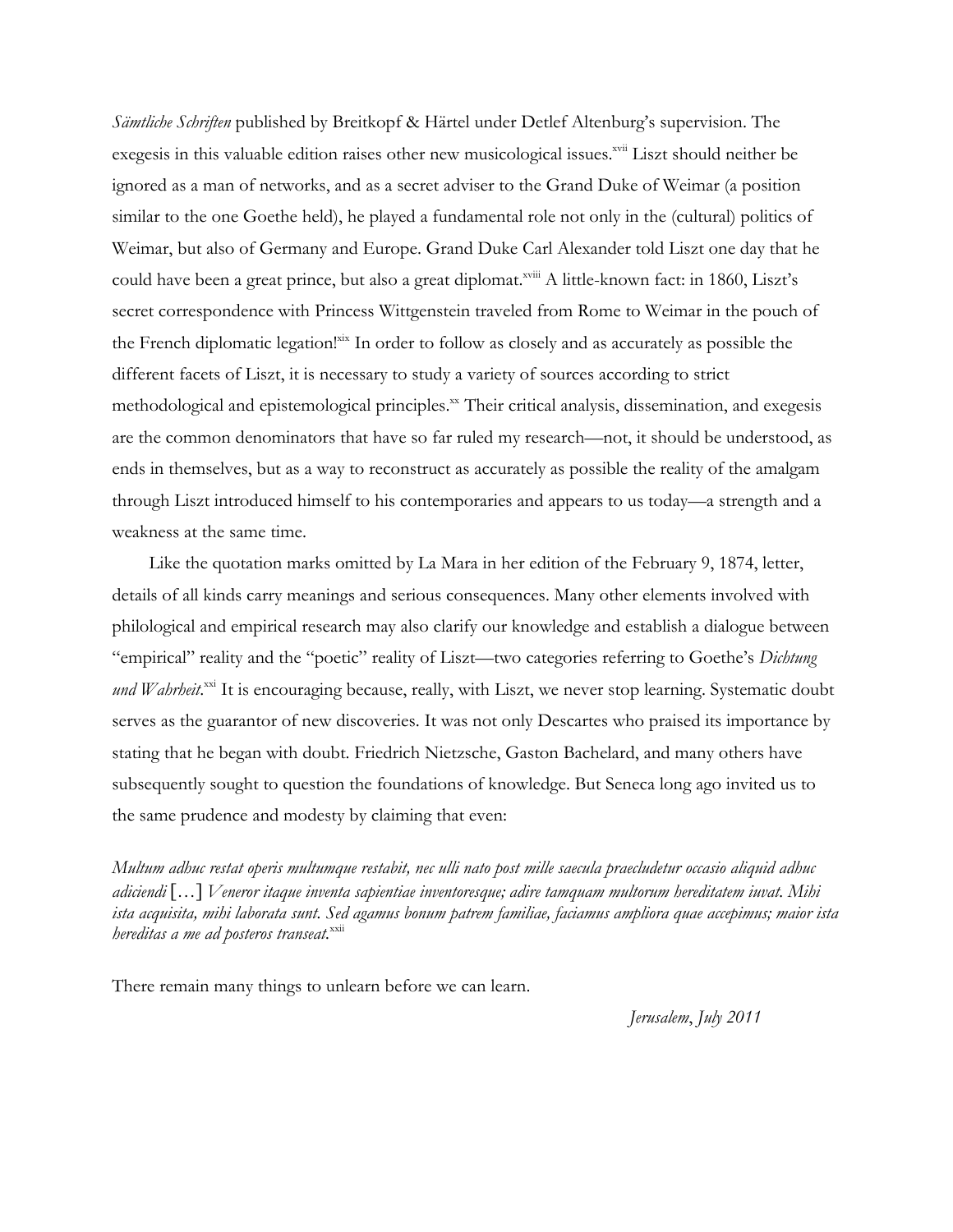*Sämtliche Schriften* published by Breitkopf & Härtel under Detlef Altenburg's supervision. The exegesis in this valuable edition raises other new musicological issues.<sup>xvii</sup> Liszt should neither be ignored as a man of networks, and as a secret adviser to the Grand Duke of Weimar (a position similar to the one Goethe held), he played a fundamental role not only in the (cultural) politics of Weimar, but also of Germany and Europe. Grand Duke Carl Alexander told Liszt one day that he could have been a great prince, but also a great diplomat.<sup>xviii</sup> A little-known fact: in 1860, Liszt's secret correspondence with Princess Wittgenstein traveled from Rome to Weimar in the pouch of the French diplomatic legation!<sup>xix</sup> In order to follow as closely and as accurately as possible the different facets of Liszt, it is necessary to study a variety of sources according to strict methodological and epistemological principles.<sup>xx</sup> Their critical analysis, dissemination, and exegesis are the common denominators that have so far ruled my research—not, it should be understood, as ends in themselves, but as a way to reconstruct as accurately as possible the reality of the amalgam through Liszt introduced himself to his contemporaries and appears to us today—a strength and a weakness at the same time.

Like the quotation marks omitted by La Mara in her edition of the February 9, 1874, letter, details of all kinds carry meanings and serious consequences. Many other elements involved with philological and empirical research may also clarify our knowledge and establish a dialogue between "empirical" reality and the "poetic" reality of Liszt—two categories referring to Goethe's *Dichtung*  und Wahrheit.<sup>xxi</sup> It is encouraging because, really, with Liszt, we never stop learning. Systematic doubt serves as the guarantor of new discoveries. It was not only Descartes who praised its importance by stating that he began with doubt. Friedrich Nietzsche, Gaston Bachelard, and many others have subsequently sought to question the foundations of knowledge. But Seneca long ago invited us to the same prudence and modesty by claiming that even:

*Multum adhuc restat operis multumque restabit, nec ulli nato post mille saecula praecludetur occasio aliquid adhuc adiciendi* […] *Veneror itaque inventa sapientiae inventoresque; adire tamquam multorum hereditatem iuvat. Mihi ista acquisita, mihi laborata sunt. Sed agamus bonum patrem familiae, faciamus ampliora quae accepimus; maior ista hereditas a me ad posteros transeat.*<sup>xxii</sup>

There remain many things to unlearn before we can learn.

*Jerusalem*, *July 2011*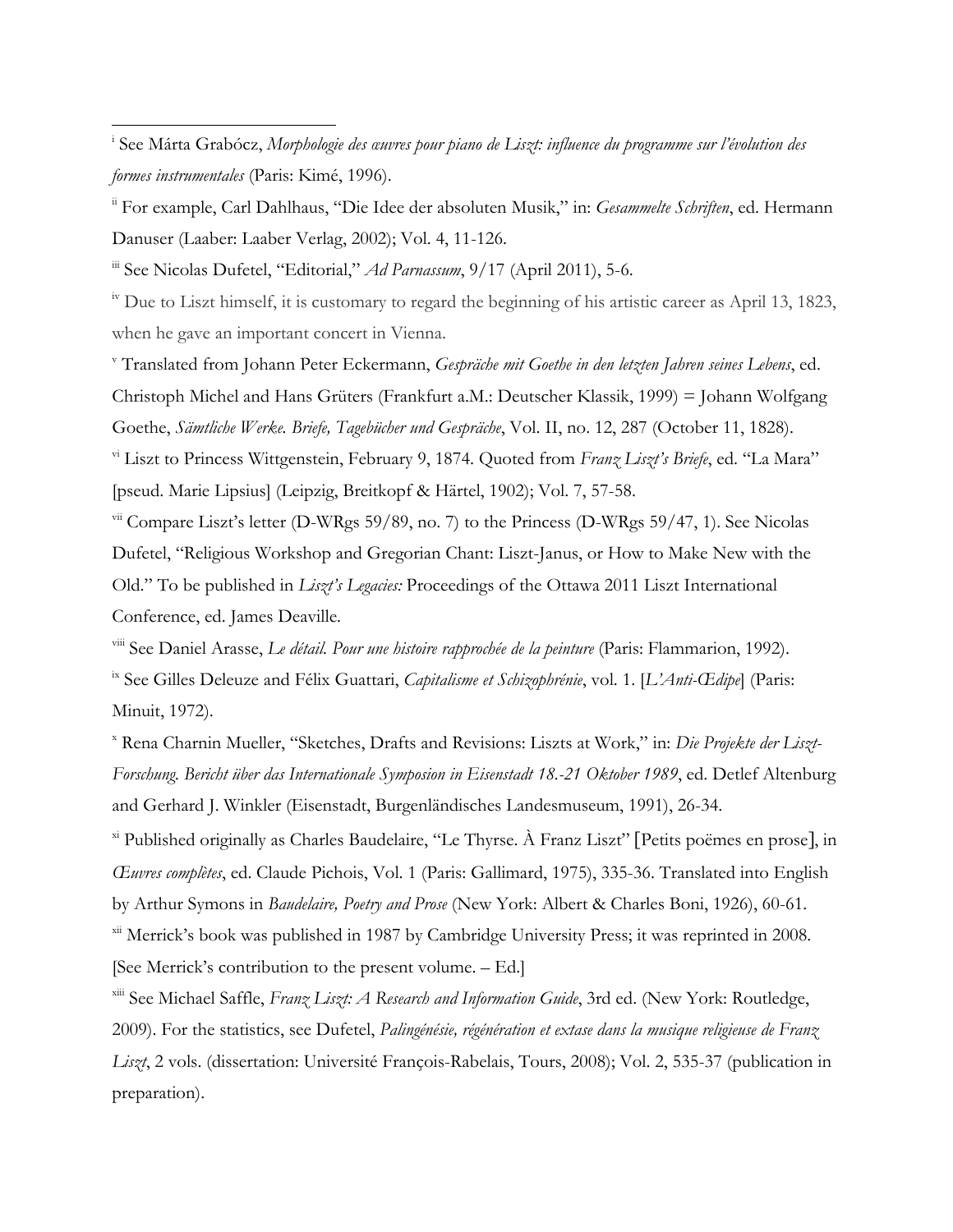iii See Nicolas Dufetel, "Editorial," *Ad Parnassum*, 9/17 (April 2011), 5-6.

 

 $\frac{1}{10}$  Due to Liszt himself, it is customary to regard the beginning of his artistic career as April 13, 1823, when he gave an important concert in Vienna.

<sup>v</sup> Translated from Johann Peter Eckermann, *Gespräche mit Goethe in den letzten Jahren seines Lebens*, ed. Christoph Michel and Hans Grüters (Frankfurt a.M.: Deutscher Klassik, 1999) = Johann Wolfgang Goethe, *Sämtliche Werke. Briefe, Tagebücher und Gespräche*, Vol. II, no. 12, 287 (October 11, 1828). vi Liszt to Princess Wittgenstein, February 9, 1874. Quoted from *Franz Liszt's Briefe*, ed. "La Mara" [pseud. Marie Lipsius] (Leipzig, Breitkopf & Härtel, 1902); Vol. 7, 57-58.

 $vii$  Compare Liszt's letter (D-WRgs 59/89, no. 7) to the Princess (D-WRgs 59/47, 1). See Nicolas Dufetel, "Religious Workshop and Gregorian Chant: Liszt-Janus, or How to Make New with the Old." To be published in *Liszt's Legacies:* Proceedings of the Ottawa 2011 Liszt International Conference, ed. James Deaville.

viii See Daniel Arasse, *Le détail. Pour une histoire rapprochée de la peinture* (Paris: Flammarion, 1992).

ix See Gilles Deleuze and Félix Guattari, *Capitalisme et Schizophrénie*, vol. 1. [*L'Anti-Œdipe*] (Paris: Minuit, 1972).

<sup>x</sup> Rena Charnin Mueller, "Sketches, Drafts and Revisions: Liszts at Work," in: *Die Projekte der Liszt-Forschung. Bericht über das Internationale Symposion in Eisenstadt 18.-21 Oktober 1989*, ed. Detlef Altenburg and Gerhard J. Winkler (Eisenstadt, Burgenländisches Landesmuseum, 1991), 26-34.

xi Published originally as Charles Baudelaire, "Le Thyrse. À Franz Liszt" [Petits poëmes en prose], in *Œuvres complètes*, ed. Claude Pichois, Vol. 1 (Paris: Gallimard, 1975), 335-36. Translated into English by Arthur Symons in *Baudelaire, Poetry and Prose* (New York: Albert & Charles Boni, 1926), 60-61.

<sup>xii</sup> Merrick's book was published in 1987 by Cambridge University Press; it was reprinted in 2008. [See Merrick's contribution to the present volume. – Ed.]

xiii See Michael Saffle, *Franz Liszt: A Research and Information Guide*, 3rd ed. (New York: Routledge, 2009). For the statistics, see Dufetel, *Palingénésie, régénération et extase dans la musique religieuse de Franz Liszt*, 2 vols. (dissertation: Université François-Rabelais, Tours, 2008); Vol. 2, 535-37 (publication in preparation).

i See Márta Grabócz, *Morphologie des œuvres pour piano de Liszt: influence du programme sur l'évolution des formes instrumentales* (Paris: Kimé, 1996).

ii For example, Carl Dahlhaus, "Die Idee der absoluten Musik," in: *Gesammelte Schriften*, ed. Hermann Danuser (Laaber: Laaber Verlag, 2002); Vol. 4, 11-126.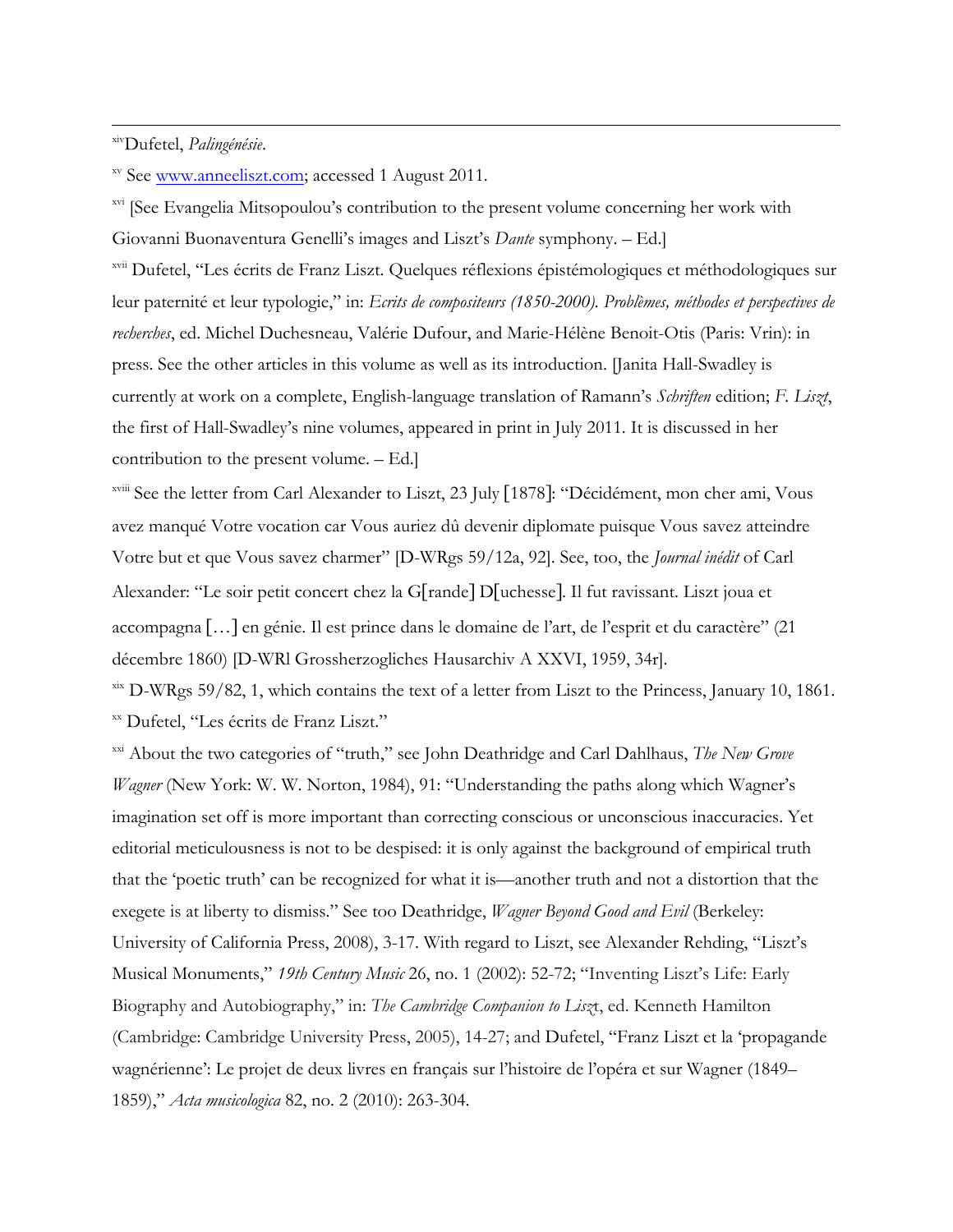#### xivDufetel, *Palingénésie*.

xv See www.anneeliszt.com; accessed 1 August 2011.

<sup>xvi</sup> [See Evangelia Mitsopoulou's contribution to the present volume concerning her work with Giovanni Buonaventura Genelli's images and Liszt's *Dante* symphony. – Ed.]

<u> 1989 - Andrea San Andrea San Andrea San Andrea San Andrea San Andrea San Andrea San Andrea San Andrea San An</u>

xvii Dufetel, "Les écrits de Franz Liszt. Quelques réflexions épistémologiques et méthodologiques sur leur paternité et leur typologie," in: *Ecrits de compositeurs (1850-2000). Problèmes, méthodes et perspectives de recherches*, ed. Michel Duchesneau, Valérie Dufour, and Marie-Hélène Benoit-Otis (Paris: Vrin): in press. See the other articles in this volume as well as its introduction. [Janita Hall-Swadley is currently at work on a complete, English-language translation of Ramann's *Schriften* edition; *F. Liszt*, the first of Hall-Swadley's nine volumes, appeared in print in July 2011. It is discussed in her contribution to the present volume. – Ed.]

xviii See the letter from Carl Alexander to Liszt, 23 July [1878]: "Décidément, mon cher ami, Vous avez manqué Votre vocation car Vous auriez dû devenir diplomate puisque Vous savez atteindre Votre but et que Vous savez charmer" [D-WRgs 59/12a, 92]. See, too, the *Journal inédit* of Carl Alexander: "Le soir petit concert chez la G[rande] D[uchesse]. Il fut ravissant. Liszt joua et accompagna […] en génie. Il est prince dans le domaine de l'art, de l'esprit et du caractère" (21 décembre 1860) [D-WRl Grossherzogliches Hausarchiv A XXVI, 1959, 34r].

xix D-WRgs 59/82, 1, which contains the text of a letter from Liszt to the Princess, January 10, 1861. xx Dufetel, "Les écrits de Franz Liszt."

xxi About the two categories of "truth," see John Deathridge and Carl Dahlhaus, *The New Grove Wagner* (New York: W. W. Norton, 1984), 91: "Understanding the paths along which Wagner's imagination set off is more important than correcting conscious or unconscious inaccuracies. Yet editorial meticulousness is not to be despised: it is only against the background of empirical truth that the 'poetic truth' can be recognized for what it is—another truth and not a distortion that the exegete is at liberty to dismiss." See too Deathridge, *Wagner Beyond Good and Evil* (Berkeley: University of California Press, 2008), 3-17. With regard to Liszt, see Alexander Rehding, "Liszt's Musical Monuments," *19th Century Music* 26, no. 1 (2002): 52-72; "Inventing Liszt's Life: Early Biography and Autobiography," in: *The Cambridge Companion to Lisz*t, ed. Kenneth Hamilton (Cambridge: Cambridge University Press, 2005), 14-27; and Dufetel, "Franz Liszt et la 'propagande wagnérienne': Le projet de deux livres en français sur l'histoire de l'opéra et sur Wagner (1849– 1859)," *Acta musicologica* 82, no. 2 (2010): 263-304.